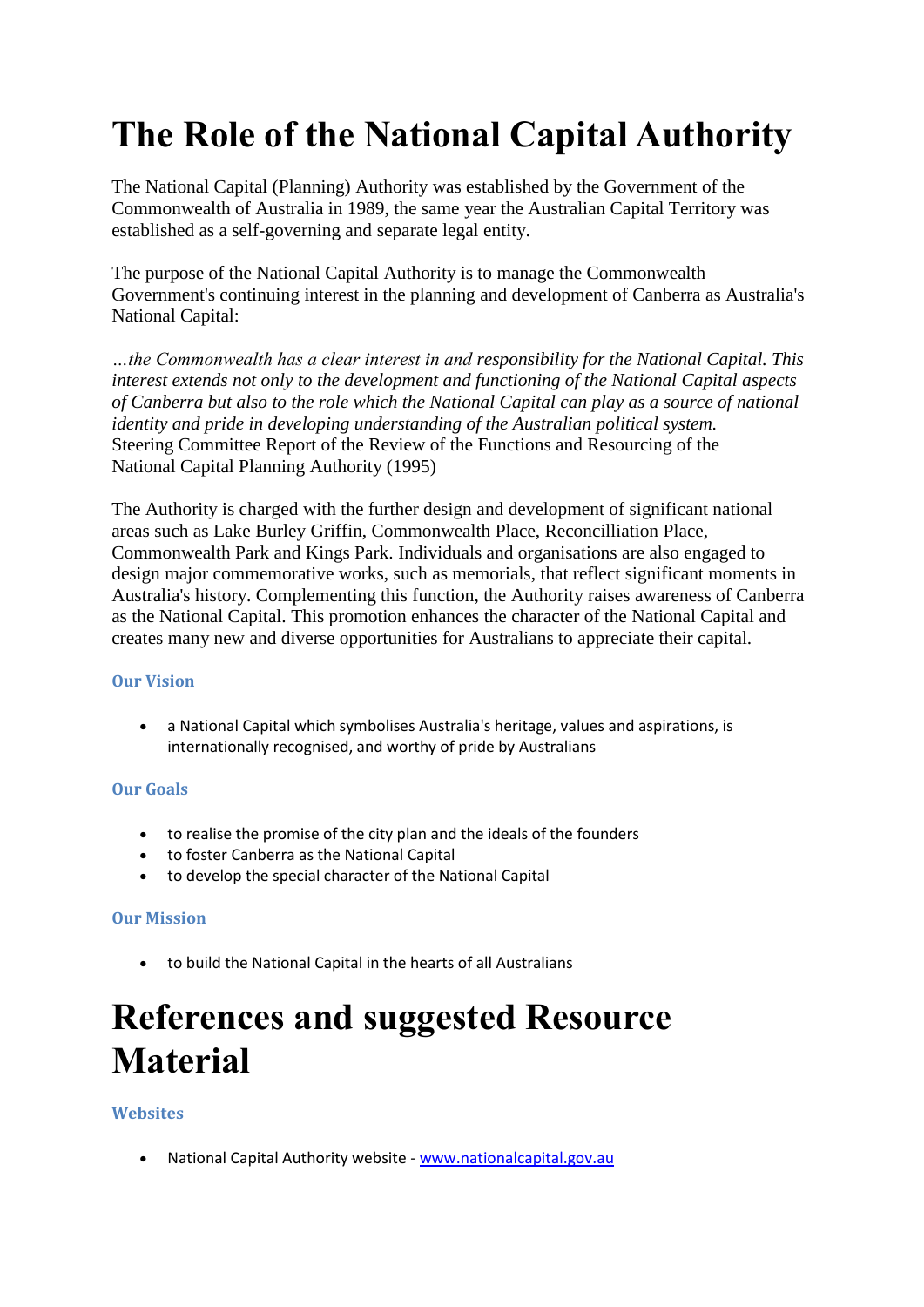# **The Role of the National Capital Authority**

The National Capital (Planning) Authority was established by the Government of the Commonwealth of Australia in 1989, the same year the Australian Capital Territory was established as a self-governing and separate legal entity.

The purpose of the National Capital Authority is to manage the Commonwealth Government's continuing interest in the planning and development of Canberra as Australia's National Capital:

*…the Commonwealth has a clear interest in and responsibility for the National Capital. This interest extends not only to the development and functioning of the National Capital aspects of Canberra but also to the role which the National Capital can play as a source of national identity and pride in developing understanding of the Australian political system.* Steering Committee Report of the Review of the Functions and Resourcing of the National Capital Planning Authority (1995)

The Authority is charged with the further design and development of significant national areas such as Lake Burley Griffin, Commonwealth Place, Reconcilliation Place, Commonwealth Park and Kings Park. Individuals and organisations are also engaged to design major commemorative works, such as memorials, that reflect significant moments in Australia's history. Complementing this function, the Authority raises awareness of Canberra as the National Capital. This promotion enhances the character of the National Capital and creates many new and diverse opportunities for Australians to appreciate their capital.

#### **Our Vision**

 a National Capital which symbolises Australia's heritage, values and aspirations, is internationally recognised, and worthy of pride by Australians

#### **Our Goals**

- to realise the promise of the city plan and the ideals of the founders
- to foster Canberra as the National Capital
- to develop the special character of the National Capital

#### **Our Mission**

to build the National Capital in the hearts of all Australians

# **References and suggested Resource Material**

## **Websites**

• National Capital Authority website - [www.nationalcapital.gov.au](http://www.nationalcapital.gov.au/)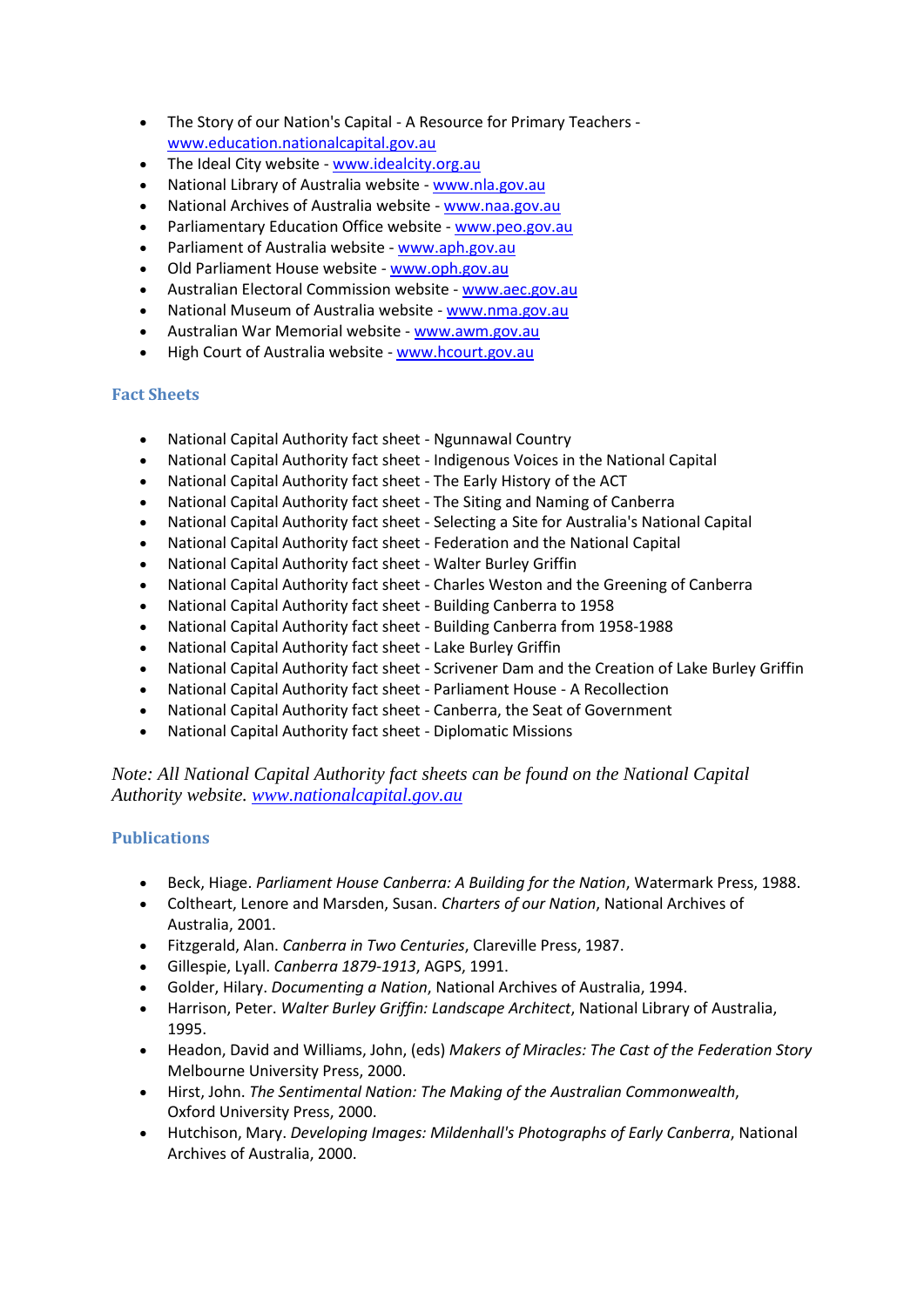- The Story of our Nation's Capital A Resource for Primary Teachers [www.education.nationalcapital.gov.au](http://www.education.nationalcapital.gov.au/)
- The Ideal City website [www.idealcity.org.au](http://www.idealcity.org.au/)
- National Library of Australia website [www.nla.gov.au](http://www.nla.gov.au/)
- National Archives of Australia website [www.naa.gov.au](http://www.naa.gov.au/)
- Parliamentary Education Office website [www.peo.gov.au](http://www.peo.gov.au/)
- Parliament of Australia website [www.aph.gov.au](http://www.aph.gov.au/)
- Old Parliament House website [www.oph.gov.au](http://www.oph.gov.au/)
- Australian Electoral Commission website [www.aec.gov.au](http://www.aec.gov.au/)
- National Museum of Australia website [www.nma.gov.au](http://www.nma.gov.au/)
- Australian War Memorial website www.awm.gov.au
- High Court of Australia website [www.hcourt.gov.au](http://www.hcourt.gov.au/)

#### **Fact Sheets**

- National Capital Authority fact sheet Ngunnawal Country
- National Capital Authority fact sheet Indigenous Voices in the National Capital
- National Capital Authority fact sheet The Early History of the ACT
- National Capital Authority fact sheet The Siting and Naming of Canberra
- National Capital Authority fact sheet Selecting a Site for Australia's National Capital
- National Capital Authority fact sheet Federation and the National Capital
- National Capital Authority fact sheet Walter Burley Griffin
- National Capital Authority fact sheet Charles Weston and the Greening of Canberra
- National Capital Authority fact sheet Building Canberra to 1958
- National Capital Authority fact sheet Building Canberra from 1958-1988
- National Capital Authority fact sheet Lake Burley Griffin
- National Capital Authority fact sheet Scrivener Dam and the Creation of Lake Burley Griffin
- National Capital Authority fact sheet Parliament House A Recollection
- National Capital Authority fact sheet Canberra, the Seat of Government
- National Capital Authority fact sheet Diplomatic Missions

*Note: All National Capital Authority fact sheets can be found on the National Capital Authority website. [www.nationalcapital.gov.au](http://www.nationalcapital.gov.au/)*

#### **Publications**

- Beck, Hiage. *Parliament House Canberra: A Building for the Nation*, Watermark Press, 1988.
- Coltheart, Lenore and Marsden, Susan. *Charters of our Nation*, National Archives of Australia, 2001.
- Fitzgerald, Alan. *Canberra in Two Centuries*, Clareville Press, 1987.
- Gillespie, Lyall. *Canberra 1879-1913*, AGPS, 1991.
- Golder, Hilary. *Documenting a Nation*, National Archives of Australia, 1994.
- Harrison, Peter. *Walter Burley Griffin: Landscape Architect*, National Library of Australia, 1995.
- Headon, David and Williams, John, (eds) *Makers of Miracles: The Cast of the Federation Story* Melbourne University Press, 2000.
- Hirst, John. *The Sentimental Nation: The Making of the Australian Commonwealth*, Oxford University Press, 2000.
- Hutchison, Mary. *Developing Images: Mildenhall's Photographs of Early Canberra*, National Archives of Australia, 2000.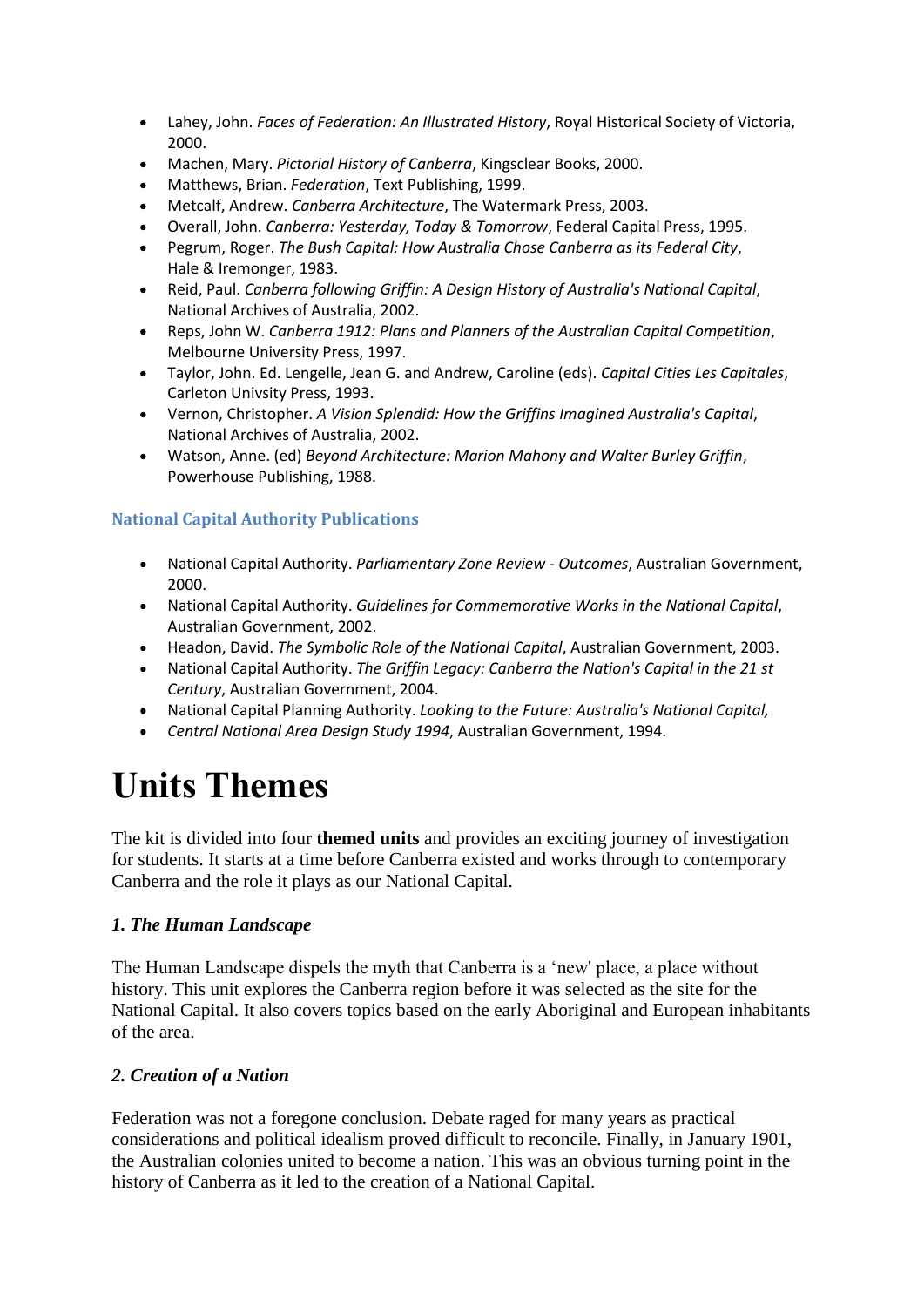- Lahey, John. *Faces of Federation: An Illustrated History*, Royal Historical Society of Victoria, 2000.
- Machen, Mary. *Pictorial History of Canberra*, Kingsclear Books, 2000.
- Matthews, Brian. *Federation*, Text Publishing, 1999.
- Metcalf, Andrew. *Canberra Architecture*, The Watermark Press, 2003.
- Overall, John. *Canberra: Yesterday, Today & Tomorrow*, Federal Capital Press, 1995.
- Pegrum, Roger. *The Bush Capital: How Australia Chose Canberra as its Federal City*, Hale & Iremonger, 1983.
- Reid, Paul. *Canberra following Griffin: A Design History of Australia's National Capital*, National Archives of Australia, 2002.
- Reps, John W. *Canberra 1912: Plans and Planners of the Australian Capital Competition*, Melbourne University Press, 1997.
- Taylor, John. Ed. Lengelle, Jean G. and Andrew, Caroline (eds). *Capital Cities Les Capitales*, Carleton Univsity Press, 1993.
- Vernon, Christopher. *A Vision Splendid: How the Griffins Imagined Australia's Capital*, National Archives of Australia, 2002.
- Watson, Anne. (ed) *Beyond Architecture: Marion Mahony and Walter Burley Griffin*, Powerhouse Publishing, 1988.

#### **National Capital Authority Publications**

- National Capital Authority. *Parliamentary Zone Review - Outcomes*, Australian Government, 2000.
- National Capital Authority. *Guidelines for Commemorative Works in the National Capital*, Australian Government, 2002.
- Headon, David. *The Symbolic Role of the National Capital*, Australian Government, 2003.
- National Capital Authority. *The Griffin Legacy: Canberra the Nation's Capital in the 21 st Century*, Australian Government, 2004.
- National Capital Planning Authority. *Looking to the Future: Australia's National Capital,*
- *Central National Area Design Study 1994*, Australian Government, 1994.

# **Units Themes**

The kit is divided into four **themed units** and provides an exciting journey of investigation for students. It starts at a time before Canberra existed and works through to contemporary Canberra and the role it plays as our National Capital.

## *1. The Human Landscape*

The Human Landscape dispels the myth that Canberra is a 'new' place, a place without history. This unit explores the Canberra region before it was selected as the site for the National Capital. It also covers topics based on the early Aboriginal and European inhabitants of the area.

## *2. Creation of a Nation*

Federation was not a foregone conclusion. Debate raged for many years as practical considerations and political idealism proved difficult to reconcile. Finally, in January 1901, the Australian colonies united to become a nation. This was an obvious turning point in the history of Canberra as it led to the creation of a National Capital.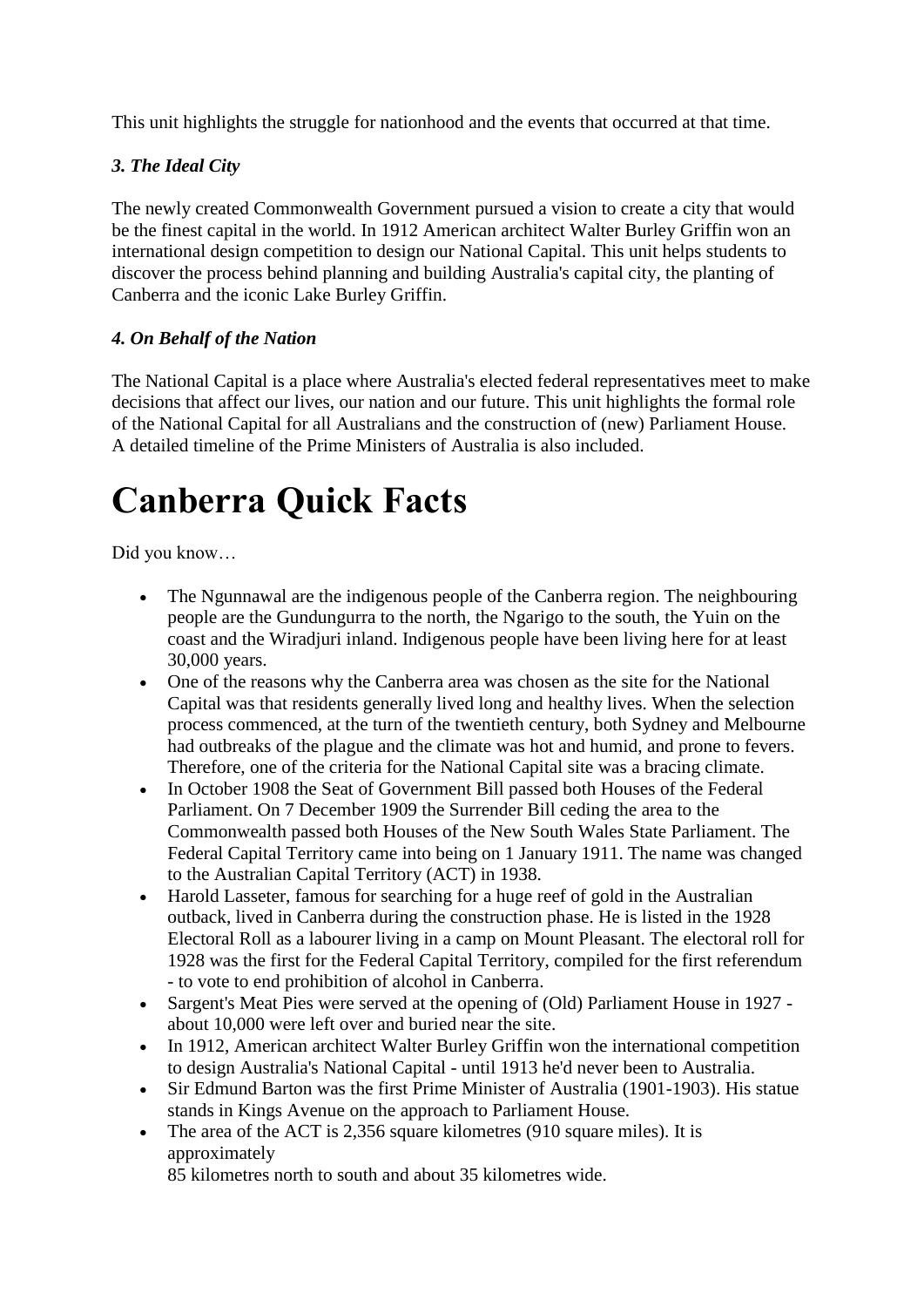This unit highlights the struggle for nationhood and the events that occurred at that time.

# *3. The Ideal City*

The newly created Commonwealth Government pursued a vision to create a city that would be the finest capital in the world. In 1912 American architect Walter Burley Griffin won an international design competition to design our National Capital. This unit helps students to discover the process behind planning and building Australia's capital city, the planting of Canberra and the iconic Lake Burley Griffin.

# *4. On Behalf of the Nation*

The National Capital is a place where Australia's elected federal representatives meet to make decisions that affect our lives, our nation and our future. This unit highlights the formal role of the National Capital for all Australians and the construction of (new) Parliament House. A detailed timeline of the Prime Ministers of Australia is also included.

# **Canberra Quick Facts**

Did you know…

- The Ngunnawal are the indigenous people of the Canberra region. The neighbouring people are the Gundungurra to the north, the Ngarigo to the south, the Yuin on the coast and the Wiradjuri inland. Indigenous people have been living here for at least 30,000 years.
- One of the reasons why the Canberra area was chosen as the site for the National Capital was that residents generally lived long and healthy lives. When the selection process commenced, at the turn of the twentieth century, both Sydney and Melbourne had outbreaks of the plague and the climate was hot and humid, and prone to fevers. Therefore, one of the criteria for the National Capital site was a bracing climate.
- In October 1908 the Seat of Government Bill passed both Houses of the Federal Parliament. On 7 December 1909 the Surrender Bill ceding the area to the Commonwealth passed both Houses of the New South Wales State Parliament. The Federal Capital Territory came into being on 1 January 1911. The name was changed to the Australian Capital Territory (ACT) in 1938.
- Harold Lasseter, famous for searching for a huge reef of gold in the Australian outback, lived in Canberra during the construction phase. He is listed in the 1928 Electoral Roll as a labourer living in a camp on Mount Pleasant. The electoral roll for 1928 was the first for the Federal Capital Territory, compiled for the first referendum - to vote to end prohibition of alcohol in Canberra.
- Sargent's Meat Pies were served at the opening of (Old) Parliament House in 1927 about 10,000 were left over and buried near the site.
- In 1912, American architect Walter Burley Griffin won the international competition to design Australia's National Capital - until 1913 he'd never been to Australia.
- Sir Edmund Barton was the first Prime Minister of Australia (1901-1903). His statue stands in Kings Avenue on the approach to Parliament House.
- The area of the ACT is 2,356 square kilometres (910 square miles). It is approximately

85 kilometres north to south and about 35 kilometres wide.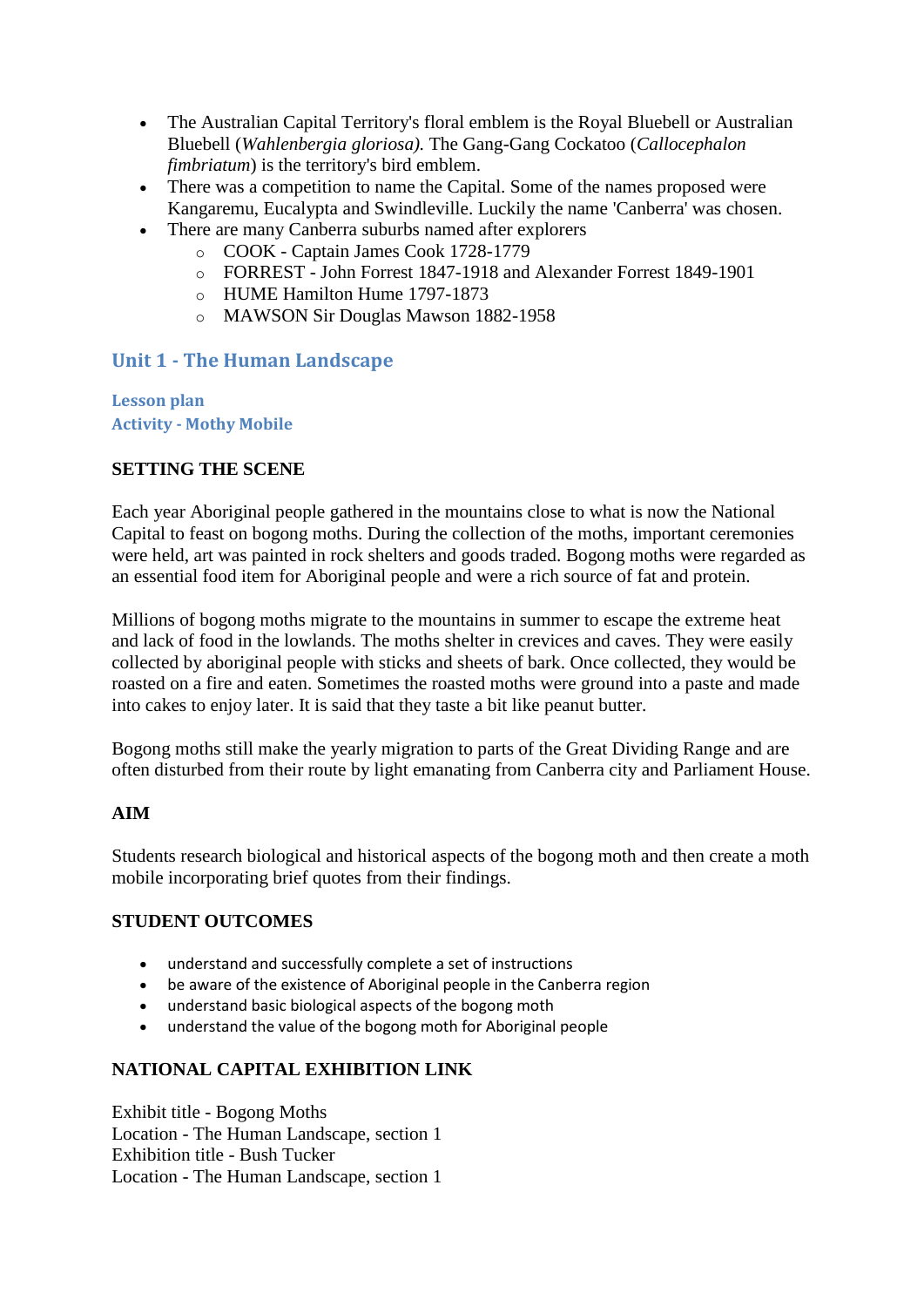- The Australian Capital Territory's floral emblem is the Royal Bluebell or Australian Bluebell (*Wahlenbergia gloriosa).* The Gang-Gang Cockatoo (*Callocephalon fimbriatum*) is the territory's bird emblem.
- There was a competition to name the Capital. Some of the names proposed were Kangaremu, Eucalypta and Swindleville. Luckily the name 'Canberra' was chosen.
- There are many Canberra suburbs named after explorers
	- o COOK Captain James Cook 1728-1779
	- o FORREST John Forrest 1847-1918 and Alexander Forrest 1849-1901
	- o HUME Hamilton Hume 1797-1873
	- o MAWSON Sir Douglas Mawson 1882-1958

# **Unit 1 - The Human Landscape**

**Lesson plan Activity - Mothy Mobile**

## **SETTING THE SCENE**

Each year Aboriginal people gathered in the mountains close to what is now the National Capital to feast on bogong moths. During the collection of the moths, important ceremonies were held, art was painted in rock shelters and goods traded. Bogong moths were regarded as an essential food item for Aboriginal people and were a rich source of fat and protein.

Millions of bogong moths migrate to the mountains in summer to escape the extreme heat and lack of food in the lowlands. The moths shelter in crevices and caves. They were easily collected by aboriginal people with sticks and sheets of bark. Once collected, they would be roasted on a fire and eaten. Sometimes the roasted moths were ground into a paste and made into cakes to enjoy later. It is said that they taste a bit like peanut butter.

Bogong moths still make the yearly migration to parts of the Great Dividing Range and are often disturbed from their route by light emanating from Canberra city and Parliament House.

## **AIM**

Students research biological and historical aspects of the bogong moth and then create a moth mobile incorporating brief quotes from their findings.

## **STUDENT OUTCOMES**

- understand and successfully complete a set of instructions
- be aware of the existence of Aboriginal people in the Canberra region
- understand basic biological aspects of the bogong moth
- understand the value of the bogong moth for Aboriginal people

# **NATIONAL CAPITAL EXHIBITION LINK**

Exhibit title - Bogong Moths Location - The Human Landscape, section 1 Exhibition title - Bush Tucker Location - The Human Landscape, section 1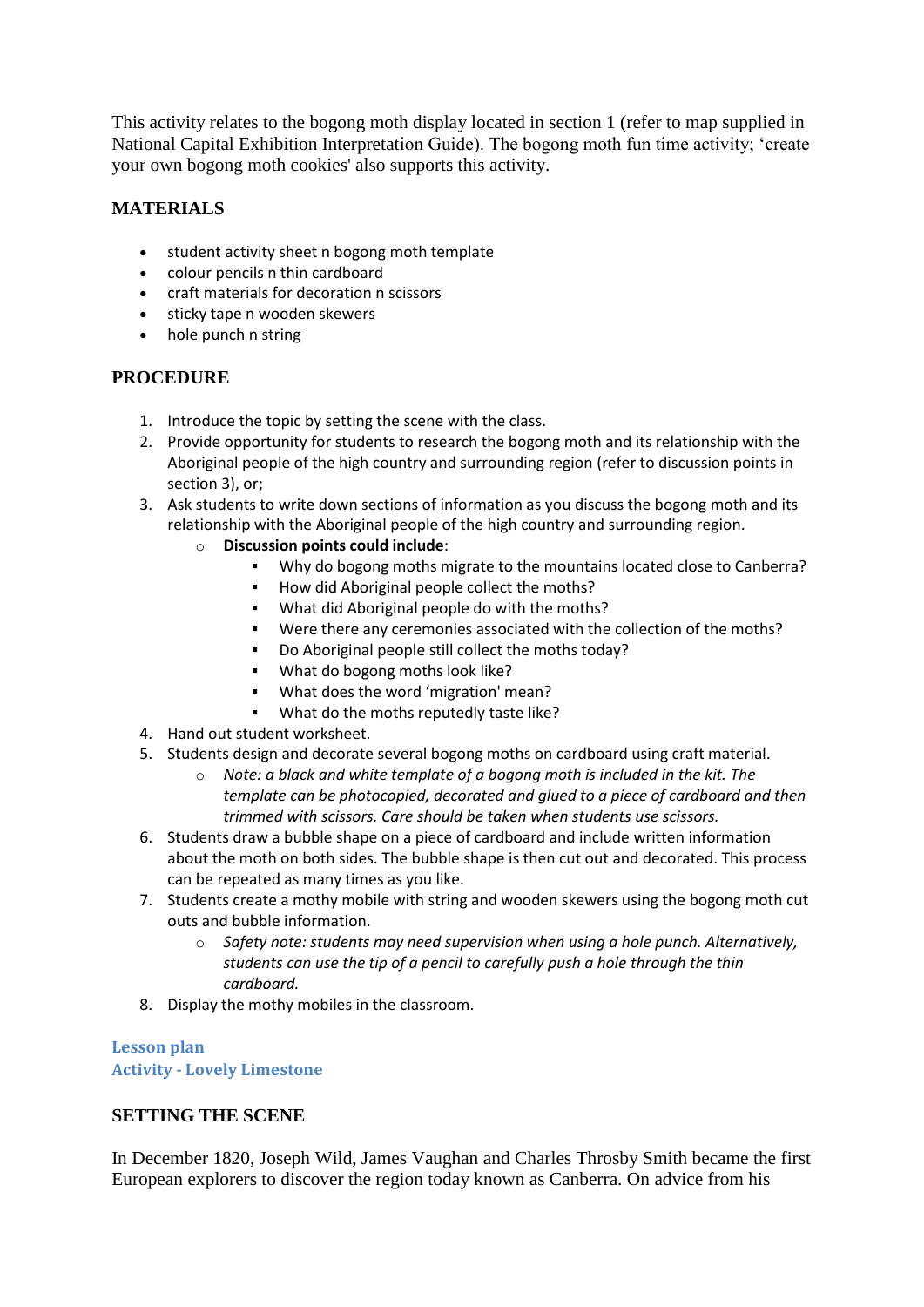This activity relates to the bogong moth display located in section 1 (refer to map supplied in National Capital Exhibition Interpretation Guide). The bogong moth fun time activity; 'create your own bogong moth cookies' also supports this activity.

# **MATERIALS**

- student activity sheet n bogong moth template
- colour pencils n thin cardboard
- craft materials for decoration n scissors
- sticky tape n wooden skewers
- hole punch n string

# **PROCEDURE**

- 1. Introduce the topic by setting the scene with the class.
- 2. Provide opportunity for students to research the bogong moth and its relationship with the Aboriginal people of the high country and surrounding region (refer to discussion points in section 3), or;
- 3. Ask students to write down sections of information as you discuss the bogong moth and its relationship with the Aboriginal people of the high country and surrounding region.
	- o **Discussion points could include**:
		- Why do bogong moths migrate to the mountains located close to Canberra?
		- How did Aboriginal people collect the moths?
		- **What did Aboriginal people do with the moths?**
		- Were there any ceremonies associated with the collection of the moths?
		- Do Aboriginal people still collect the moths today?
		- What do bogong moths look like?
		- What does the word 'migration' mean?
		- What do the moths reputedly taste like?
- 4. Hand out student worksheet.
- 5. Students design and decorate several bogong moths on cardboard using craft material.
	- o *Note: a black and white template of a bogong moth is included in the kit. The template can be photocopied, decorated and glued to a piece of cardboard and then trimmed with scissors. Care should be taken when students use scissors.*
- 6. Students draw a bubble shape on a piece of cardboard and include written information about the moth on both sides. The bubble shape is then cut out and decorated. This process can be repeated as many times as you like.
- 7. Students create a mothy mobile with string and wooden skewers using the bogong moth cut outs and bubble information.
	- o *Safety note: students may need supervision when using a hole punch. Alternatively, students can use the tip of a pencil to carefully push a hole through the thin cardboard.*
- 8. Display the mothy mobiles in the classroom.

## **Lesson plan Activity - Lovely Limestone**

## **SETTING THE SCENE**

In December 1820, Joseph Wild, James Vaughan and Charles Throsby Smith became the first European explorers to discover the region today known as Canberra. On advice from his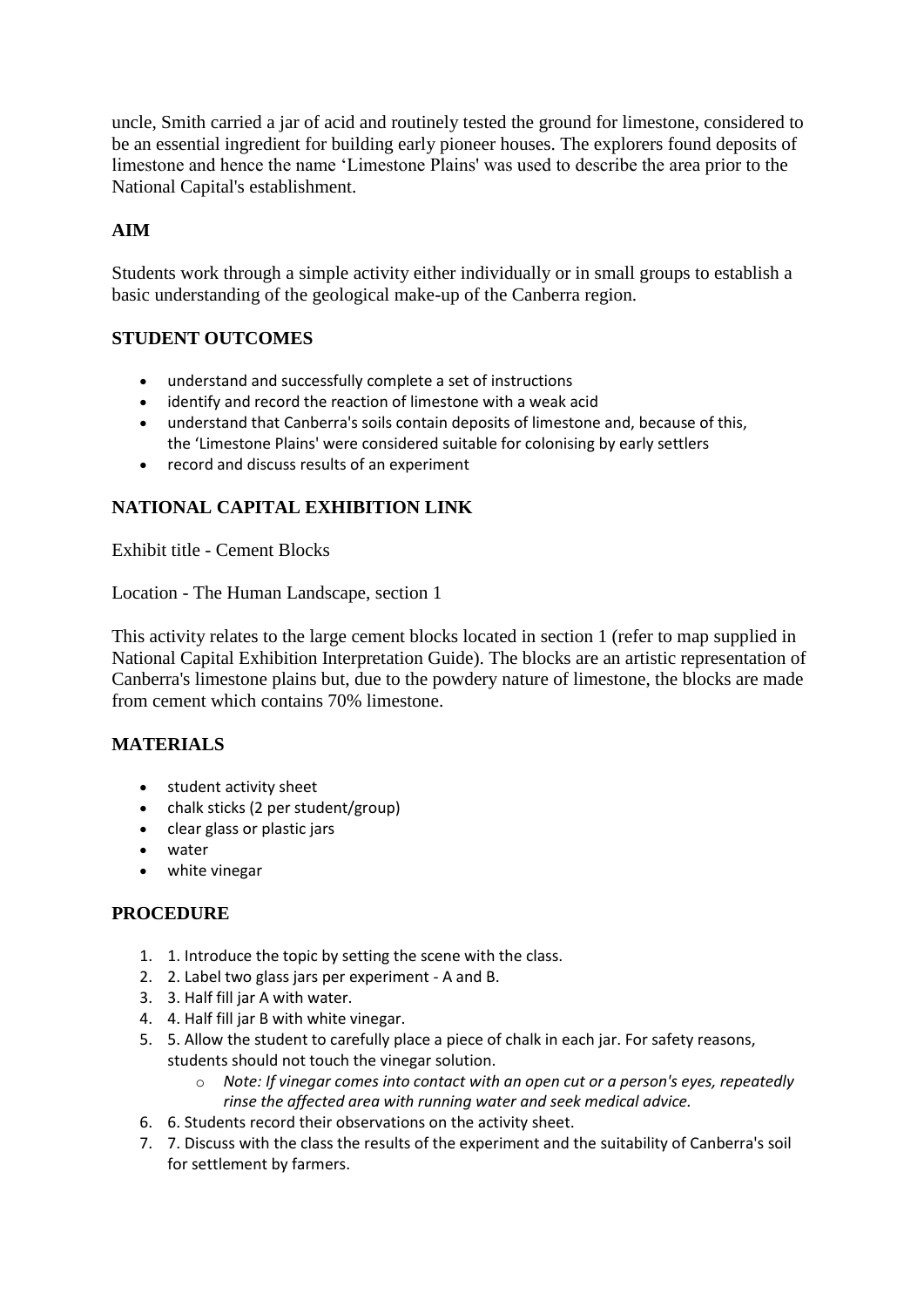uncle, Smith carried a jar of acid and routinely tested the ground for limestone, considered to be an essential ingredient for building early pioneer houses. The explorers found deposits of limestone and hence the name 'Limestone Plains' was used to describe the area prior to the National Capital's establishment.

# **AIM**

Students work through a simple activity either individually or in small groups to establish a basic understanding of the geological make-up of the Canberra region.

## **STUDENT OUTCOMES**

- understand and successfully complete a set of instructions
- identify and record the reaction of limestone with a weak acid
- understand that Canberra's soils contain deposits of limestone and, because of this, the 'Limestone Plains' were considered suitable for colonising by early settlers
- record and discuss results of an experiment

# **NATIONAL CAPITAL EXHIBITION LINK**

Exhibit title - Cement Blocks

Location - The Human Landscape, section 1

This activity relates to the large cement blocks located in section 1 (refer to map supplied in National Capital Exhibition Interpretation Guide). The blocks are an artistic representation of Canberra's limestone plains but, due to the powdery nature of limestone, the blocks are made from cement which contains 70% limestone.

## **MATERIALS**

- **•** student activity sheet
- chalk sticks (2 per student/group)
- clear glass or plastic jars
- water
- white vinegar

## **PROCEDURE**

- 1. 1. Introduce the topic by setting the scene with the class.
- 2. 2. Label two glass jars per experiment A and B.
- 3. 3. Half fill jar A with water.
- 4. 4. Half fill jar B with white vinegar.
- 5. 5. Allow the student to carefully place a piece of chalk in each jar. For safety reasons, students should not touch the vinegar solution.
	- o *Note: If vinegar comes into contact with an open cut or a person's eyes, repeatedly rinse the affected area with running water and seek medical advice.*
- 6. 6. Students record their observations on the activity sheet.
- 7. 7. Discuss with the class the results of the experiment and the suitability of Canberra's soil for settlement by farmers.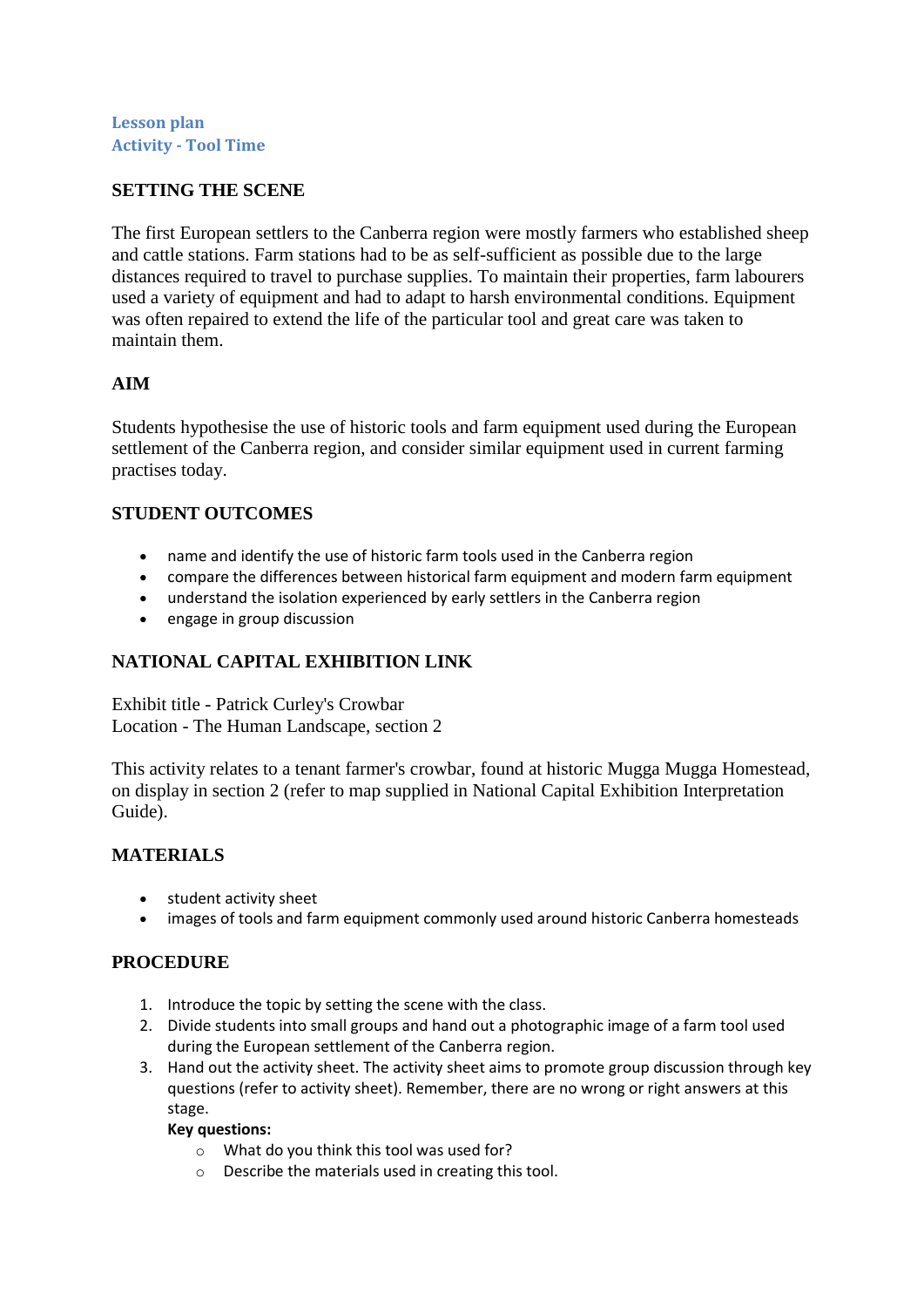#### **Lesson plan Activity - Tool Time**

#### **SETTING THE SCENE**

The first European settlers to the Canberra region were mostly farmers who established sheep and cattle stations. Farm stations had to be as self-sufficient as possible due to the large distances required to travel to purchase supplies. To maintain their properties, farm labourers used a variety of equipment and had to adapt to harsh environmental conditions. Equipment was often repaired to extend the life of the particular tool and great care was taken to maintain them.

## **AIM**

Students hypothesise the use of historic tools and farm equipment used during the European settlement of the Canberra region, and consider similar equipment used in current farming practises today.

## **STUDENT OUTCOMES**

- name and identify the use of historic farm tools used in the Canberra region
- compare the differences between historical farm equipment and modern farm equipment
- understand the isolation experienced by early settlers in the Canberra region
- engage in group discussion

## **NATIONAL CAPITAL EXHIBITION LINK**

Exhibit title - Patrick Curley's Crowbar Location - The Human Landscape, section 2

This activity relates to a tenant farmer's crowbar, found at historic Mugga Mugga Homestead, on display in section 2 (refer to map supplied in National Capital Exhibition Interpretation Guide).

## **MATERIALS**

- student activity sheet
- images of tools and farm equipment commonly used around historic Canberra homesteads

#### **PROCEDURE**

- 1. Introduce the topic by setting the scene with the class.
- 2. Divide students into small groups and hand out a photographic image of a farm tool used during the European settlement of the Canberra region.
- 3. Hand out the activity sheet. The activity sheet aims to promote group discussion through key questions (refer to activity sheet). Remember, there are no wrong or right answers at this stage.

#### **Key questions:**

- o What do you think this tool was used for?
- o Describe the materials used in creating this tool.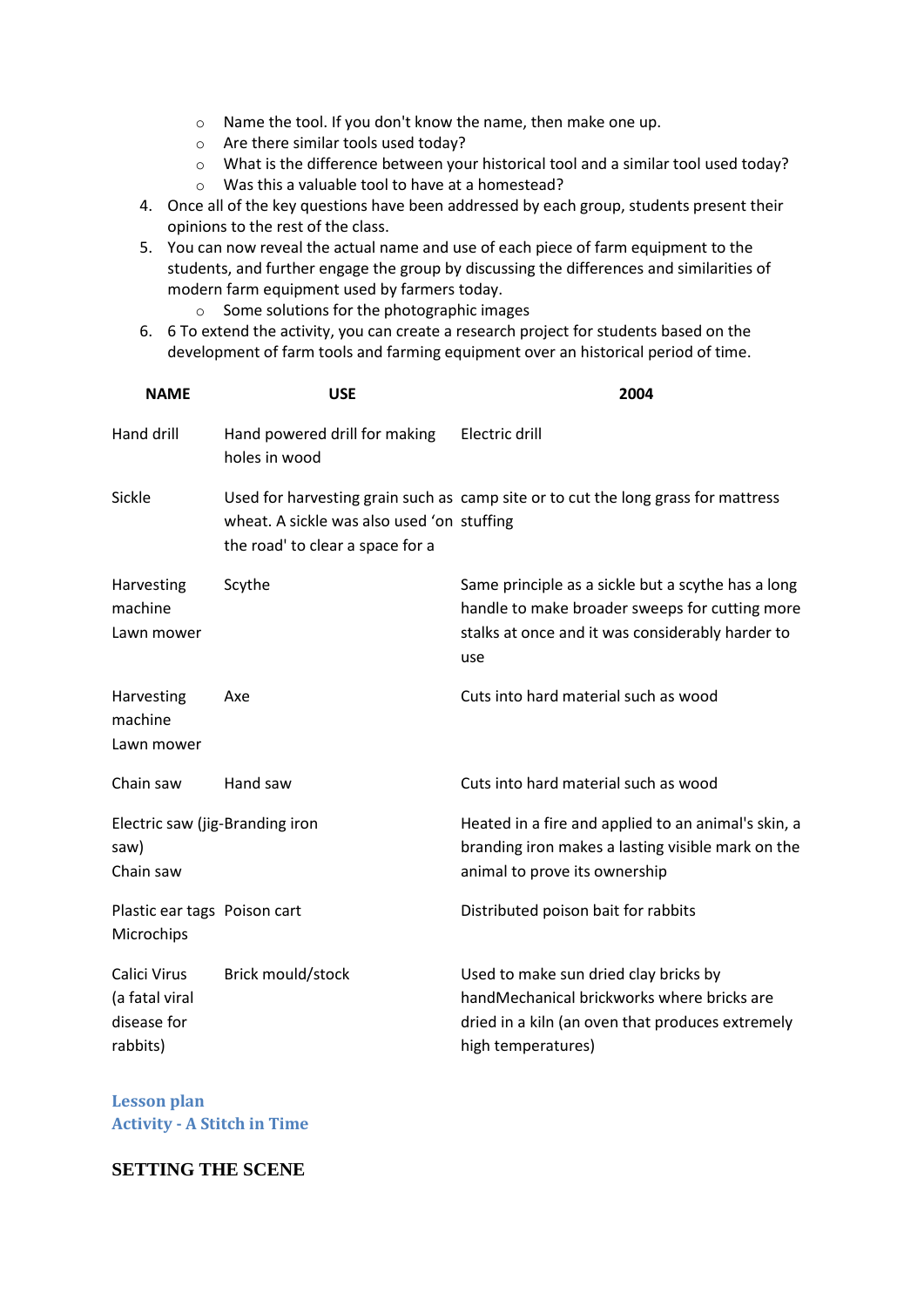- o Name the tool. If you don't know the name, then make one up.
- o Are there similar tools used today?
- o What is the difference between your historical tool and a similar tool used today?
- o Was this a valuable tool to have at a homestead?
- 4. Once all of the key questions have been addressed by each group, students present their opinions to the rest of the class.
- 5. You can now reveal the actual name and use of each piece of farm equipment to the students, and further engage the group by discussing the differences and similarities of modern farm equipment used by farmers today.
	- o Some solutions for the photographic images
- 6. 6 To extend the activity, you can create a research project for students based on the development of farm tools and farming equipment over an historical period of time.

| <b>NAME</b>                                               | <b>USE</b>                                                                     | 2004                                                                                                                                                            |
|-----------------------------------------------------------|--------------------------------------------------------------------------------|-----------------------------------------------------------------------------------------------------------------------------------------------------------------|
| Hand drill                                                | Hand powered drill for making<br>holes in wood                                 | Electric drill                                                                                                                                                  |
| Sickle                                                    | wheat. A sickle was also used 'on stuffing<br>the road' to clear a space for a | Used for harvesting grain such as camp site or to cut the long grass for mattress                                                                               |
| Harvesting<br>machine<br>Lawn mower                       | Scythe                                                                         | Same principle as a sickle but a scythe has a long<br>handle to make broader sweeps for cutting more<br>stalks at once and it was considerably harder to<br>use |
| Harvesting<br>machine<br>Lawn mower                       | Axe                                                                            | Cuts into hard material such as wood                                                                                                                            |
| Chain saw                                                 | Hand saw                                                                       | Cuts into hard material such as wood                                                                                                                            |
| Electric saw (jig-Branding iron<br>saw)<br>Chain saw      |                                                                                | Heated in a fire and applied to an animal's skin, a<br>branding iron makes a lasting visible mark on the<br>animal to prove its ownership                       |
| Plastic ear tags Poison cart<br>Microchips                |                                                                                | Distributed poison bait for rabbits                                                                                                                             |
| Calici Virus<br>(a fatal viral<br>disease for<br>rabbits) | Brick mould/stock                                                              | Used to make sun dried clay bricks by<br>handMechanical brickworks where bricks are<br>dried in a kiln (an oven that produces extremely<br>high temperatures)   |

**Lesson plan Activity - A Stitch in Time**

#### **SETTING THE SCENE**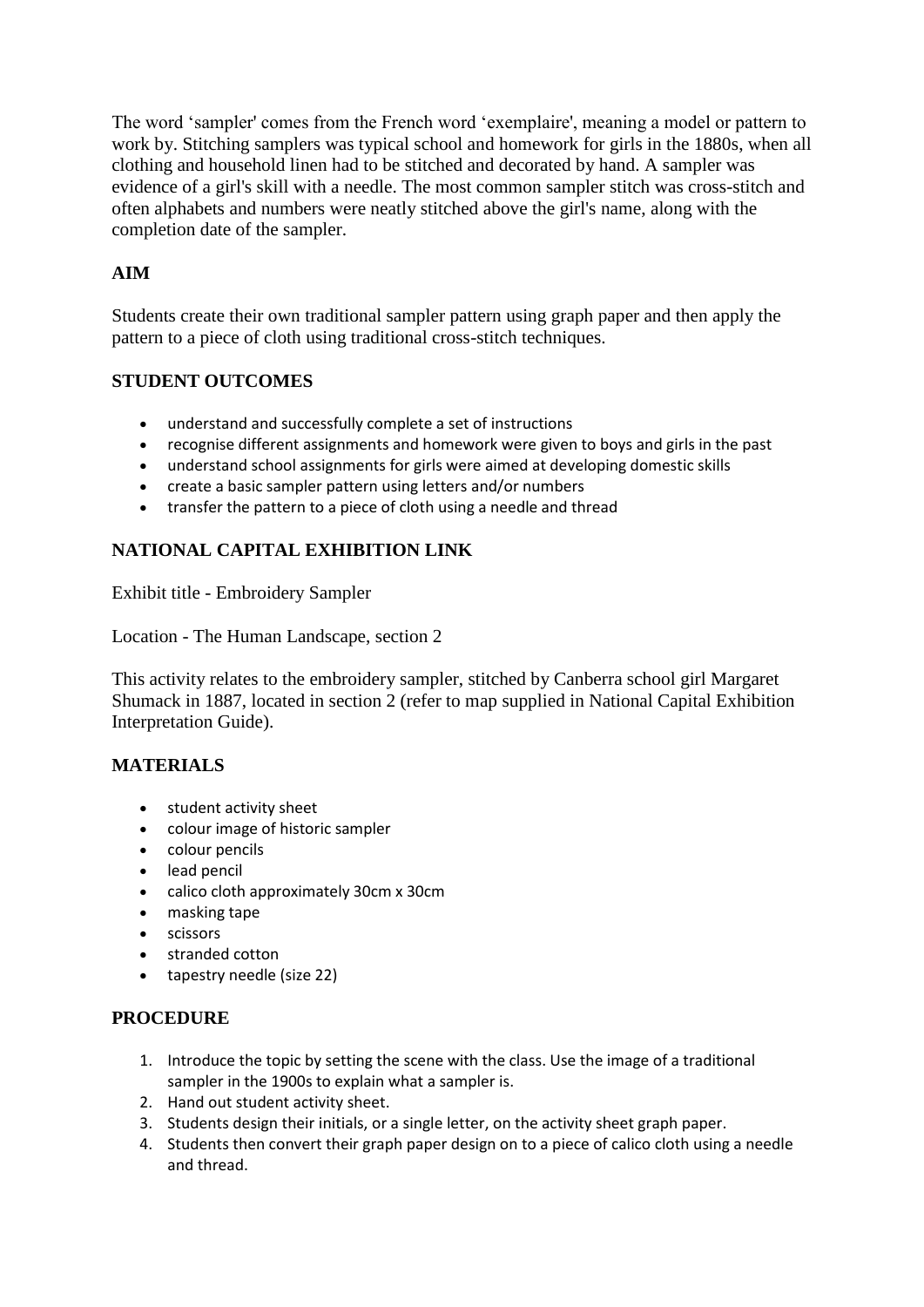The word 'sampler' comes from the French word 'exemplaire', meaning a model or pattern to work by. Stitching samplers was typical school and homework for girls in the 1880s, when all clothing and household linen had to be stitched and decorated by hand. A sampler was evidence of a girl's skill with a needle. The most common sampler stitch was cross-stitch and often alphabets and numbers were neatly stitched above the girl's name, along with the completion date of the sampler.

# **AIM**

Students create their own traditional sampler pattern using graph paper and then apply the pattern to a piece of cloth using traditional cross-stitch techniques.

## **STUDENT OUTCOMES**

- understand and successfully complete a set of instructions
- recognise different assignments and homework were given to boys and girls in the past
- understand school assignments for girls were aimed at developing domestic skills
- create a basic sampler pattern using letters and/or numbers
- transfer the pattern to a piece of cloth using a needle and thread

## **NATIONAL CAPITAL EXHIBITION LINK**

Exhibit title - Embroidery Sampler

Location - The Human Landscape, section 2

This activity relates to the embroidery sampler, stitched by Canberra school girl Margaret Shumack in 1887, located in section 2 (refer to map supplied in National Capital Exhibition Interpretation Guide).

## **MATERIALS**

- student activity sheet
- colour image of historic sampler
- colour pencils
- lead pencil
- calico cloth approximately 30cm x 30cm
- masking tape
- **•** scissors
- stranded cotton
- tapestry needle (size 22)

## **PROCEDURE**

- 1. Introduce the topic by setting the scene with the class. Use the image of a traditional sampler in the 1900s to explain what a sampler is.
- 2. Hand out student activity sheet.
- 3. Students design their initials, or a single letter, on the activity sheet graph paper.
- 4. Students then convert their graph paper design on to a piece of calico cloth using a needle and thread.